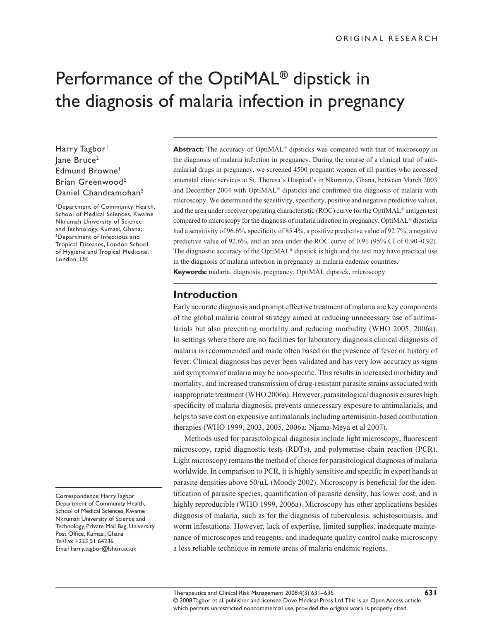# Performance of the OptiMAL**®** dipstick in the diagnosis of malaria infection in pregnancy

Harry Tagbor<sup>1</sup> Jane Bruce<sup>2</sup> Edmund Browne<sup>1</sup> Brian Greenwood2 Daniel Chandramohan<sup>2</sup>

1Department of Community Health, School of Medical Sciences, Kwame Nkrumah University of Science and Technology, Kumasi, Ghana; 2Department of Infectious and Tropical Diseases, London School of Hygiene and Tropical Medicine, London, UK

Correspondence: Harry Tagbor Department of Community Health, School of Medical Sciences, Kwame Nkrumah University of Science and Technology, Private Mail Bag, University Post Office, Kumasi, Ghana Tel/Fax +233 51 64236 Email harry.tagbor@lshtm.ac.uk

**Abstract:** The accuracy of OptiMAL<sup>®</sup> dipsticks was compared with that of microscopy in the diagnosis of malaria infection in pregnancy. During the course of a clinical trial of antimalarial drugs in pregnancy, we screened 4500 pregnant women of all parities who accessed antenatal clinic services at St. Theresa's Hospital's in Nkoranza, Ghana, between March 2003 and December 2004 with Opti $M\&$ <sup>®</sup> dipsticks and confirmed the diagnosis of malaria with microscopy. We determined the sensitivity, specificity, positive and negative predictive values, and the area under receiver operating characteristic (ROC) curve for the OptiMAL® antigen test compared to microscopy for the diagnosis of malaria infection in pregnancy. OptiMAL® dipsticks had a sensitivity of 96.6%, specificity of 85.4%, a positive predictive value of 92.7%, a negative predictive value of 92.6%, and an area under the ROC curve of 0.91 (95% CI of 0.90–0.92). The diagnostic accuracy of the OptiMAL<sup>®</sup> dipstick is high and the test may have practical use in the diagnosis of malaria infection in pregnancy in malaria endemic countries. **Keywords:** malaria, diagnosis, pregnancy, OptiMAL dipstick, microscopy

# **Introduction**

Early accurate diagnosis and prompt effective treatment of malaria are key components of the global malaria control strategy aimed at reducing unnecessary use of antimalarials but also preventing mortality and reducing morbidity (WHO 2005, 2006a). In settings where there are no facilities for laboratory diagnosis clinical diagnosis of malaria is recommended and made often based on the presence of fever or history of fever. Clinical diagnosis has never been validated and has very low accuracy as signs and symptoms of malaria may be non-specific. This results in increased morbidity and mortality, and increased transmission of drug-resistant parasite strains associated with inappropriate treatment (WHO 2006a). However, parasitological diagnosis ensures high specificity of malaria diagnosis, prevents unnecessary exposure to antimalarials, and helps to save cost on expensive antimalarials including artemisinin-based combination therapies (WHO 1999, 2003, 2005, 2006a; Njama-Meya et al 2007).

Methods used for parasitological diagnosis include light microscopy, fluorescent microscopy, rapid diagnostic tests (RDTs), and polymerase chain reaction (PCR). Light microscopy remains the method of choice for parasitological diagnosis of malaria worldwide. In comparison to PCR, it is highly sensitive and specific in expert hands at parasite densities above  $50/\mu$ L (Moody 2002). Microscopy is beneficial for the identification of parasite species, quantification of parasite density, has lower cost, and is highly reproducible (WHO 1999, 2006a). Microscopy has other applications besides diagnosis of malaria, such as for the diagnosis of tuberculosis, schistosomiasis, and worm infestations. However, lack of expertise, limited supplies, inadequate maintenance of microscopes and reagents, and inadequate quality control make microscopy a less reliable technique in remote areas of malaria endemic regions.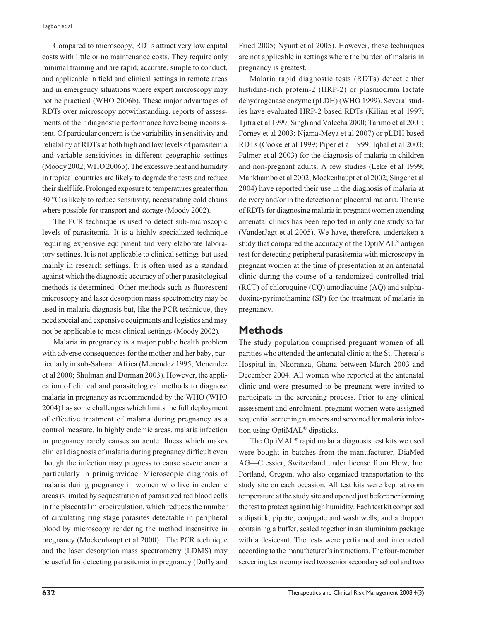Compared to microscopy, RDTs attract very low capital costs with little or no maintenance costs. They require only minimal training and are rapid, accurate, simple to conduct, and applicable in field and clinical settings in remote areas and in emergency situations where expert microscopy may not be practical (WHO 2006b). These major advantages of RDTs over microscopy notwithstanding, reports of assessments of their diagnostic performance have being inconsistent. Of particular concern is the variability in sensitivity and reliability of RDTs at both high and low levels of parasitemia and variable sensitivities in different geographic settings (Moody 2002; WHO 2006b). The excessive heat and humidity in tropical countries are likely to degrade the tests and reduce their shelf life. Prolonged exposure to temperatures greater than 30 °C is likely to reduce sensitivity, necessitating cold chains where possible for transport and storage (Moody 2002).

The PCR technique is used to detect sub-microscopic levels of parasitemia. It is a highly specialized technique requiring expensive equipment and very elaborate laboratory settings. It is not applicable to clinical settings but used mainly in research settings. It is often used as a standard against which the diagnostic accuracy of other parasitological methods is determined. Other methods such as fluorescent microscopy and laser desorption mass spectrometry may be used in malaria diagnosis but, like the PCR technique, they need special and expensive equipments and logistics and may not be applicable to most clinical settings (Moody 2002).

Malaria in pregnancy is a major public health problem with adverse consequences for the mother and her baby, particularly in sub-Saharan Africa (Menendez 1995; Menendez et al 2000; Shulman and Dorman 2003). However, the application of clinical and parasitological methods to diagnose malaria in pregnancy as recommended by the WHO (WHO 2004) has some challenges which limits the full deployment of effective treatment of malaria during pregnancy as a control measure. In highly endemic areas, malaria infection in pregnancy rarely causes an acute illness which makes clinical diagnosis of malaria during pregnancy difficult even though the infection may progress to cause severe anemia particularly in primigravidae. Microscopic diagnosis of malaria during pregnancy in women who live in endemic areas is limited by sequestration of parasitized red blood cells in the placental microcirculation, which reduces the number of circulating ring stage parasites detectable in peripheral blood by microscopy rendering the method insensitive in pregnancy (Mockenhaupt et al 2000) . The PCR technique and the laser desorption mass spectrometry (LDMS) may be useful for detecting parasitemia in pregnancy (Duffy and Fried 2005; Nyunt et al 2005). However, these techniques are not applicable in settings where the burden of malaria in pregnancy is greatest.

Malaria rapid diagnostic tests (RDTs) detect either histidine-rich protein-2 (HRP-2) or plasmodium lactate dehydrogenase enzyme (pLDH) (WHO 1999). Several studies have evaluated HRP-2 based RDTs (Kilian et al 1997; Tjitra et al 1999; Singh and Valecha 2000; Tarimo et al 2001; Forney et al 2003; Njama-Meya et al 2007) or pLDH based RDTs (Cooke et al 1999; Piper et al 1999; Iqbal et al 2003; Palmer et al 2003) for the diagnosis of malaria in children and non-pregnant adults. A few studies (Leke et al 1999; Mankhambo et al 2002; Mockenhaupt et al 2002; Singer et al 2004) have reported their use in the diagnosis of malaria at delivery and/or in the detection of placental malaria. The use of RDTs for diagnosing malaria in pregnant women attending antenatal clinics has been reported in only one study so far (VanderJagt et al 2005). We have, therefore, undertaken a study that compared the accuracy of the OptiMAL® antigen test for detecting peripheral parasitemia with microscopy in pregnant women at the time of presentation at an antenatal clinic during the course of a randomized controlled trial (RCT) of chloroquine (CQ) amodiaquine (AQ) and sulphadoxine-pyrimethamine (SP) for the treatment of malaria in pregnancy.

### **Methods**

The study population comprised pregnant women of all parities who attended the antenatal clinic at the St. Theresa's Hospital in, Nkoranza, Ghana between March 2003 and December 2004. All women who reported at the antenatal clinic and were presumed to be pregnant were invited to participate in the screening process. Prior to any clinical assessment and enrolment, pregnant women were assigned sequential screening numbers and screened for malaria infection using OptiMAL® dipsticks.

The OptiMAL® rapid malaria diagnosis test kits we used were bought in batches from the manufacturer, DiaMed AG—Cressier, Switzerland under license from Flow, Inc. Portland, Oregon, who also organized transportation to the study site on each occasion. All test kits were kept at room temperature at the study site and opened just before performing the test to protect against high humidity. Each test kit comprised a dipstick, pipette, conjugate and wash wells, and a dropper containing a buffer, sealed together in an aluminium package with a desiccant. The tests were performed and interpreted according to the manufacturer's instructions. The four-member screening team comprised two senior secondary school and two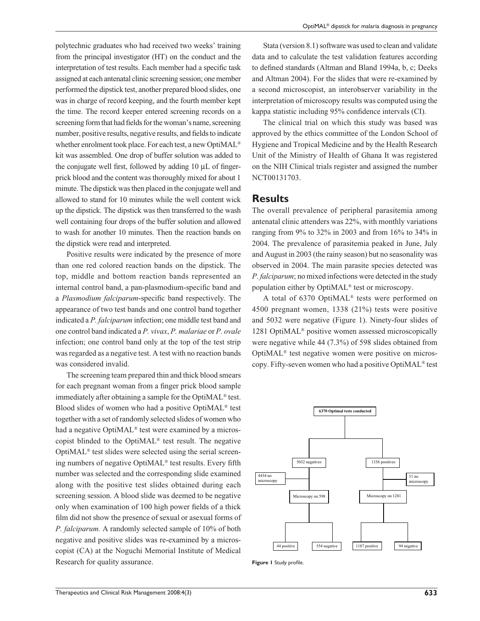polytechnic graduates who had received two weeks' training from the principal investigator (HT) on the conduct and the interpretation of test results. Each member had a specific task assigned at each antenatal clinic screening session; one member performed the dipstick test, another prepared blood slides, one was in charge of record keeping, and the fourth member kept the time. The record keeper entered screening records on a screening form that had fields for the woman's name, screening number, positive results, negative results, and fields to indicate whether enrolment took place. For each test, a new OptiMAL® kit was assembled. One drop of buffer solution was added to the conjugate well first, followed by adding 10 µL of fingerprick blood and the content was thoroughly mixed for about 1 minute. The dipstick was then placed in the conjugate well and allowed to stand for 10 minutes while the well content wick up the dipstick. The dipstick was then transferred to the wash well containing four drops of the buffer solution and allowed to wash for another 10 minutes. Then the reaction bands on the dipstick were read and interpreted.

Positive results were indicated by the presence of more than one red colored reaction bands on the dipstick. The top, middle and bottom reaction bands represented an internal control band, a pan-plasmodium-specific band and a *Plasmodium falciparum*-specific band respectively. The appearance of two test bands and one control band together indicated a *P. falciparum* infection; one middle test band and one control band indicated a *P. vivax*, *P. malariae* or *P. ovale* infection; one control band only at the top of the test strip was regarded as a negative test. A test with no reaction bands was considered invalid.

The screening team prepared thin and thick blood smears for each pregnant woman from a finger prick blood sample immediately after obtaining a sample for the OptiMAL® test. Blood slides of women who had a positive OptiMAL® test together with a set of randomly selected slides of women who had a negative OptiMAL® test were examined by a microscopist blinded to the OptiMAL® test result. The negative OptiMAL® test slides were selected using the serial screening numbers of negative OptiMAL<sup>®</sup> test results. Every fifth number was selected and the corresponding slide examined along with the positive test slides obtained during each screening session. A blood slide was deemed to be negative only when examination of 100 high power fields of a thick film did not show the presence of sexual or asexual forms of *P. falciparum.* A randomly selected sample of 10% of both negative and positive slides was re-examined by a microscopist (CA) at the Noguchi Memorial Institute of Medical Research for quality assurance.

Stata (version 8.1) software was used to clean and validate data and to calculate the test validation features according to defined standards (Altman and Bland 1994a, b, c; Deeks and Altman 2004). For the slides that were re-examined by a second microscopist, an interobserver variability in the interpretation of microscopy results was computed using the kappa statistic including 95% confidence intervals (CI).

The clinical trial on which this study was based was approved by the ethics committee of the London School of Hygiene and Tropical Medicine and by the Health Research Unit of the Ministry of Health of Ghana It was registered on the NIH Clinical trials register and assigned the number NCT00131703.

#### **Results**

The overall prevalence of peripheral parasitemia among antenatal clinic attenders was 22%, with monthly variations ranging from 9% to 32% in 2003 and from 16% to 34% in 2004. The prevalence of parasitemia peaked in June, July and August in 2003 (the rainy season) but no seasonality was observed in 2004. The main parasite species detected was *P. falciparum*; no mixed infections were detected in the study population either by OptiMAL® test or microscopy.

A total of 6370 OptiMAL® tests were performed on 4500 pregnant women, 1338 (21%) tests were positive and 5032 were negative (Figure 1). Ninety-four slides of 1281 OptiMAL® positive women assessed microscopically were negative while 44 (7.3%) of 598 slides obtained from OptiMAL® test negative women were positive on microscopy. Fifty-seven women who had a positive OptiMAL® test



Figure 1 Study profile.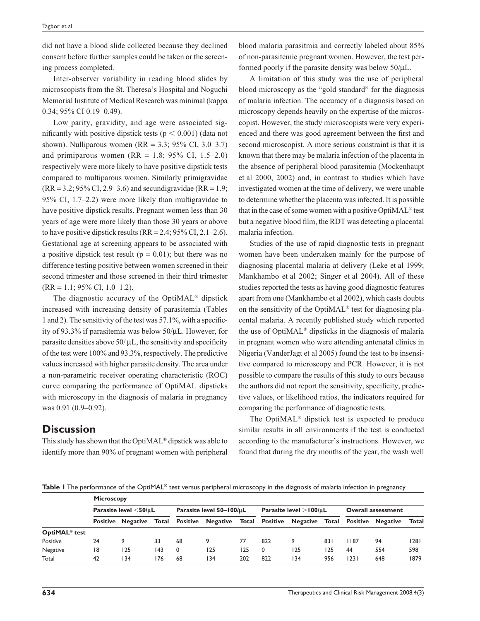did not have a blood slide collected because they declined consent before further samples could be taken or the screening process completed.

Inter-observer variability in reading blood slides by microscopists from the St. Theresa's Hospital and Noguchi Memorial Institute of Medical Research was minimal (kappa 0.34; 95% CI 0.19–0.49).

Low parity, gravidity, and age were associated significantly with positive dipstick tests ( $p < 0.001$ ) (data not shown). Nulliparous women (RR =  $3.3$ ; 95% CI, 3.0–3.7) and primiparous women (RR = 1.8; 95% CI, 1.5–2.0) respectively were more likely to have positive dipstick tests compared to multiparous women. Similarly primigravidae  $(RR = 3.2; 95\% \text{ CI}, 2.9 - 3.6)$  and secundigravidae  $(RR = 1.9;$ 95% CI, 1.7–2.2) were more likely than multigravidae to have positive dipstick results. Pregnant women less than 30 years of age were more likely than those 30 years or above to have positive dipstick results ( $RR = 2.4$ ; 95% CI, 2.1–2.6). Gestational age at screening appears to be associated with a positive dipstick test result ( $p = 0.01$ ); but there was no difference testing positive between women screened in their second trimester and those screened in their third trimester  $(RR = 1.1; 95\% \text{ CI}, 1.0-1.2).$ 

The diagnostic accuracy of the OptiMAL® dipstick increased with increasing density of parasitemia (Tables 1 and 2). The sensitivity of the test was  $57.1\%$ , with a specificity of 93.3% if parasitemia was below 50/µL. However, for parasite densities above  $50/\mu L$ , the sensitivity and specificity of the test were 100% and 93.3%, respectively. The predictive values increased with higher parasite density. The area under a non-parametric receiver operating characteristic (ROC) curve comparing the performance of OptiMAL dipsticks with microscopy in the diagnosis of malaria in pregnancy was 0.91 (0.9–0.92).

# **Discussion**

This study has shown that the OptiMAL® dipstick was able to identify more than 90% of pregnant women with peripheral

blood malaria parasitmia and correctly labeled about 85% of non-parasitemic pregnant women. However, the test performed poorly if the parasite density was below  $50/\mu L$ .

A limitation of this study was the use of peripheral blood microscopy as the "gold standard" for the diagnosis of malaria infection. The accuracy of a diagnosis based on microscopy depends heavily on the expertise of the microscopist. However, the study microscopists were very experienced and there was good agreement between the first and second microscopist. A more serious constraint is that it is known that there may be malaria infection of the placenta in the absence of peripheral blood parasitemia (Mockenhaupt et al 2000, 2002) and, in contrast to studies which have investigated women at the time of delivery, we were unable to determine whether the placenta was infected. It is possible that in the case of some women with a positive OptiMAL® test but a negative blood film, the RDT was detecting a placental malaria infection.

Studies of the use of rapid diagnostic tests in pregnant women have been undertaken mainly for the purpose of diagnosing placental malaria at delivery (Leke et al 1999; Mankhambo et al 2002; Singer et al 2004). All of these studies reported the tests as having good diagnostic features apart from one (Mankhambo et al 2002), which casts doubts on the sensitivity of the OptiMAL® test for diagnosing placental malaria. A recently published study which reported the use of OptiMAL® dipsticks in the diagnosis of malaria in pregnant women who were attending antenatal clinics in Nigeria (VanderJagt et al 2005) found the test to be insensitive compared to microscopy and PCR. However, it is not possible to compare the results of this study to ours because the authors did not report the sensitivity, specificity, predictive values, or likelihood ratios, the indicators required for comparing the performance of diagnostic tests.

The OptiMAL® dipstick test is expected to produce similar results in all environments if the test is conducted according to the manufacturer's instructions. However, we found that during the dry months of the year, the wash well

**Table 1** The performance of the OptiMAL® test versus peripheral microscopy in the diagnosis of malaria infection in pregnancy

|                           | <b>Microscopy</b>              |                          |       |                          |                                  |     |                             |                 |     |                           |                                |       |
|---------------------------|--------------------------------|--------------------------|-------|--------------------------|----------------------------------|-----|-----------------------------|-----------------|-----|---------------------------|--------------------------------|-------|
|                           | Parasite level $<$ 50/ $\mu$ L |                          |       | Parasite level 50-100/uL |                                  |     | Parasite level $>100/\mu L$ |                 |     | <b>Overall assessment</b> |                                |       |
|                           |                                | <b>Positive Negative</b> | Total |                          | Positive Negative Total Positive |     |                             | <b>Negative</b> |     |                           | <b>Total Positive Negative</b> | Total |
| OptiMAL <sup>®</sup> test |                                |                          |       |                          |                                  |     |                             |                 |     |                           |                                |       |
| Positive                  | 24                             |                          | 33    | 68                       |                                  | 77  | 822                         | 9               | 831 | l 187                     | 94                             | 28    |
| Negative                  | 18                             | 125                      | 143   | 0                        | 125                              | 125 | 0                           | 125             | 125 | 44                        | 554                            | 598   |
| Total                     | 42                             | 134                      | 176   | 68                       | 34 ا                             | 202 | 822                         | 134             | 956 | 1231                      | 648                            | 1879  |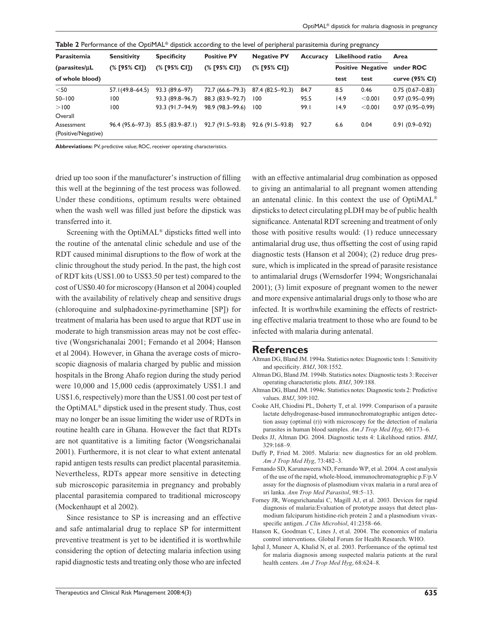| Parasitemia                       | <b>Sensitivity</b> | <b>Specificity</b>                | <b>Positive PV</b> | <b>Negative PV</b> | <b>Accuracy</b> | Likelihood ratio |                          | Area                |  |
|-----------------------------------|--------------------|-----------------------------------|--------------------|--------------------|-----------------|------------------|--------------------------|---------------------|--|
| ${\rm (parasites/ \mu L)}$        | (% [95% CI])       | (% [95% CI])                      | (% [95% CI])       | (% [95% CI])       |                 |                  | <b>Positive Negative</b> | under ROC           |  |
| of whole blood)                   |                    |                                   |                    |                    |                 | test             | test                     | curve (95% CI)      |  |
| $<$ 50                            | 57.1(49.8–64.5)    | 93.3 (89.6-97)                    | 72.7 (66.6–79.3)   | 87.4 (82.5–92.3)   | 84.7            | 8.5              | 0.46                     | $0.75(0.67 - 0.83)$ |  |
| $50 - 100$                        | 100                | 93.3 (89.8-96.7)                  | 88.3 (83.9-92.7)   | 100                | 95.5            | 14.9             | < 0.001                  | $0.97(0.95 - 0.99)$ |  |
| > 100                             | 100                | 93.3 (91.7-94.9)                  | 98.9 (98.3-99.6)   | 100                | 99.I            | 14.9             | < 0.001                  | $0.97(0.95 - 0.99)$ |  |
| Overall                           |                    |                                   |                    |                    |                 |                  |                          |                     |  |
| Assessment<br>(Positive/Negative) |                    | 96.4 (95.6–97.3) 85.5 (83.9–87.1) | 92.7 (91.5–93.8)   | $92.6(91.5-93.8)$  | 92.7            | 6.6              | 0.04                     | $0.91(0.9 - 0.92)$  |  |

**Abbreviations:** PV, predictive value; ROC, receiver operating characteristics.

dried up too soon if the manufacturer's instruction of filling this well at the beginning of the test process was followed. Under these conditions, optimum results were obtained when the wash well was filled just before the dipstick was transferred into it.

Screening with the OptiMAL® dipsticks fitted well into the routine of the antenatal clinic schedule and use of the RDT caused minimal disruptions to the flow of work at the clinic throughout the study period. In the past, the high cost of RDT kits (US\$1.00 to US\$3.50 per test) compared to the cost of US\$0.40 for microscopy (Hanson et al 2004) coupled with the availability of relatively cheap and sensitive drugs (chloroquine and sulphadoxine-pyrimethamine [SP]) for treatment of malaria has been used to argue that RDT use in moderate to high transmission areas may not be cost effective (Wongsrichanalai 2001; Fernando et al 2004; Hanson et al 2004). However, in Ghana the average costs of microscopic diagnosis of malaria charged by public and mission hospitals in the Brong Ahafo region during the study period were 10,000 and 15,000 cedis (approximately US\$1.1 and US\$1.6, respectively) more than the US\$1.00 cost per test of the OptiMAL® dipstick used in the present study. Thus, cost may no longer be an issue limiting the wider use of RDTs in routine health care in Ghana. However the fact that RDTs are not quantitative is a limiting factor (Wongsrichanalai 2001). Furthermore, it is not clear to what extent antenatal rapid antigen tests results can predict placental parasitemia. Nevertheless, RDTs appear more sensitive in detecting sub microscopic parasitemia in pregnancy and probably placental parasitemia compared to traditional microscopy (Mockenhaupt et al 2002).

Since resistance to SP is increasing and an effective and safe antimalarial drug to replace SP for intermittent preventive treatment is yet to be identified it is worthwhile considering the option of detecting malaria infection using rapid diagnostic tests and treating only those who are infected with an effective antimalarial drug combination as opposed to giving an antimalarial to all pregnant women attending an antenatal clinic. In this context the use of OptiMAL® dipsticks to detect circulating pLDH may be of public health significance. Antenatal RDT screening and treatment of only those with positive results would: (1) reduce unnecessary antimalarial drug use, thus offsetting the cost of using rapid diagnostic tests (Hanson et al 2004); (2) reduce drug pressure, which is implicated in the spread of parasite resistance to antimalarial drugs (Wernsdorfer 1994; Wongsrichanalai 2001); (3) limit exposure of pregnant women to the newer and more expensive antimalarial drugs only to those who are infected. It is worthwhile examining the effects of restricting effective malaria treatment to those who are found to be infected with malaria during antenatal.

#### **References**

- Altman DG, Bland JM. 1994a. Statistics notes: Diagnostic tests 1: Sensitivity and specificity. *BMJ*, 308:1552.
- Altman DG, Bland JM. 1994b. Statistics notes: Diagnostic tests 3: Receiver operating characteristic plots. *BMJ*, 309:188.
- Altman DG, Bland JM. 1994c. Statistics notes: Diagnostic tests 2: Predictive values. *BMJ*, 309:102.
- Cooke AH, Chiodini PL, Doherty T, et al. 1999. Comparison of a parasite lactate dehydrogenase-based immunochromatographic antigen detection assay (optimal (r)) with microscopy for the detection of malaria parasites in human blood samples. *Am J Trop Med Hyg*, 60:173–6.
- Deeks JJ, Altman DG. 2004. Diagnostic tests 4: Likelihood ratios. *BMJ*, 329:168–9.
- Duffy P, Fried M. 2005. Malaria: new diagnostics for an old problem. *Am J Trop Med Hyg*, 73:482–3.
- Fernando SD, Karunaweera ND, Fernando WP, et al. 2004. A cost analysis of the use of the rapid, whole-blood, immunochromatographic p.F/p.V assay for the diagnosis of plasmodium vivax malaria in a rural area of sri lanka. *Ann Trop Med Parasitol*, 98:5–13.
- Forney JR, Wongsrichanalai C, Magill AJ, et al. 2003. Devices for rapid diagnosis of malaria:Evaluation of prototype assays that detect plasmodium falciparum histidine-rich protein 2 and a plasmodium vivaxspecific antigen. *J Clin Microbiol*, 41:2358-66.
- Hanson K, Goodman C, Lines J, et al. 2004. The economics of malaria control interventions. Global Forum for Health Research. WHO.
- Iqbal J, Muneer A, Khalid N, et al. 2003. Performance of the optimal test for malaria diagnosis among suspected malaria patients at the rural health centers. *Am J Trop Med Hyg*, 68:624–8.